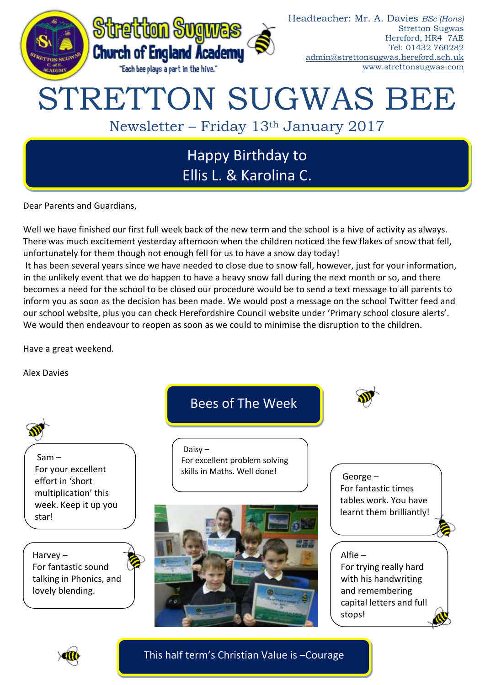

# Happy Birthday to Ellis L. & Karolina C.

Dear Parents and Guardians,

Well we have finished our first full week back of the new term and the school is a hive of activity as always. There was much excitement yesterday afternoon when the children noticed the few flakes of snow that fell, unfortunately for them though not enough fell for us to have a snow day today!

It has been several years since we have needed to close due to snow fall, however, just for your information, in the unlikely event that we do happen to have a heavy snow fall during the next month or so, and there becomes a need for the school to be closed our procedure would be to send a text message to all parents to inform you as soon as the decision has been made. We would post a message on the school Twitter feed and our school website, plus you can check Herefordshire Council website under 'Primary school closure alerts'. We would then endeavour to reopen as soon as we could to minimise the disruption to the children.

Have a great weekend.

Alex Davies



This half term's Christian Value is –Courage